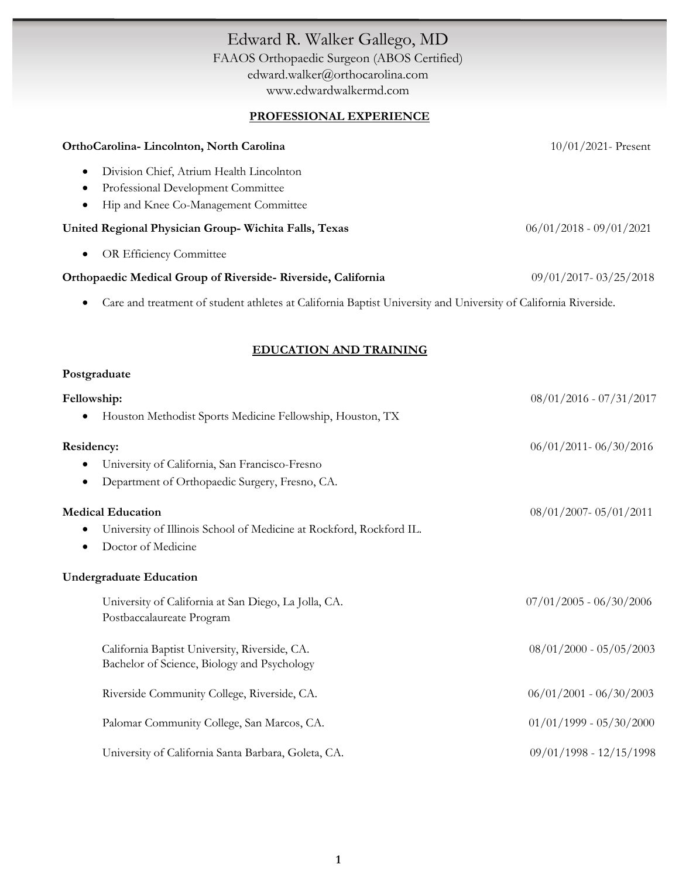# Edward R. Walker Gallego, MD FAAOS Orthopaedic Surgeon (ABOS Certified) [edward.walker@orthocarolina.com](mailto:edward.walker@orthocarolina.com) [www.edwardwalkermd.com](http://www.edwardwalkermd.com/) **PROFESSIONAL EXPERIENCE OrthoCarolina- Lincolnton, North Carolina** 10/01/2021- Present

| Orthogaromia Emiconiton, Profili Carolina                                                                                    | $1070172021$ 11000110     |
|------------------------------------------------------------------------------------------------------------------------------|---------------------------|
| Division Chief, Atrium Health Lincolnton<br>$\bullet$                                                                        |                           |
| Professional Development Committee<br>$\bullet$                                                                              |                           |
| Hip and Knee Co-Management Committee<br>$\bullet$                                                                            |                           |
| United Regional Physician Group-Wichita Falls, Texas                                                                         | $06/01/2018 - 09/01/2021$ |
| <b>OR Efficiency Committee</b><br>$\bullet$                                                                                  |                           |
| Orthopaedic Medical Group of Riverside-Riverside, California                                                                 | $09/01/2017 - 03/25/2018$ |
| Care and treatment of student athletes at California Baptist University and University of California Riverside.<br>$\bullet$ |                           |

### **EDUCATION AND TRAINING**

#### **Postgraduate**

| Fellowship:                                                              | $08/01/2016 - 07/31/2017$ |
|--------------------------------------------------------------------------|---------------------------|
| Houston Methodist Sports Medicine Fellowship, Houston, TX                |                           |
| Residency:                                                               | $06/01/2011 - 06/30/2016$ |
| University of California, San Francisco-Fresno                           |                           |
| Department of Orthopaedic Surgery, Fresno, CA.                           |                           |
| <b>Medical Education</b>                                                 | 08/01/2007-05/01/2011     |
| University of Illinois School of Medicine at Rockford, Rockford IL.<br>٠ |                           |
| Doctor of Medicine                                                       |                           |
| <b>Undergraduate Education</b>                                           |                           |
| University of California at San Diego, La Jolla, CA.                     | $07/01/2005 - 06/30/2006$ |
| Postbaccalaureate Program                                                |                           |
| California Baptist University, Riverside, CA.                            | $08/01/2000 - 05/05/2003$ |
| Bachelor of Science, Biology and Psychology                              |                           |
| Riverside Community College, Riverside, CA.                              | $06/01/2001 - 06/30/2003$ |
| Palomar Community College, San Marcos, CA.                               | $01/01/1999 - 05/30/2000$ |
| University of California Santa Barbara, Goleta, CA.                      | 09/01/1998 - 12/15/1998   |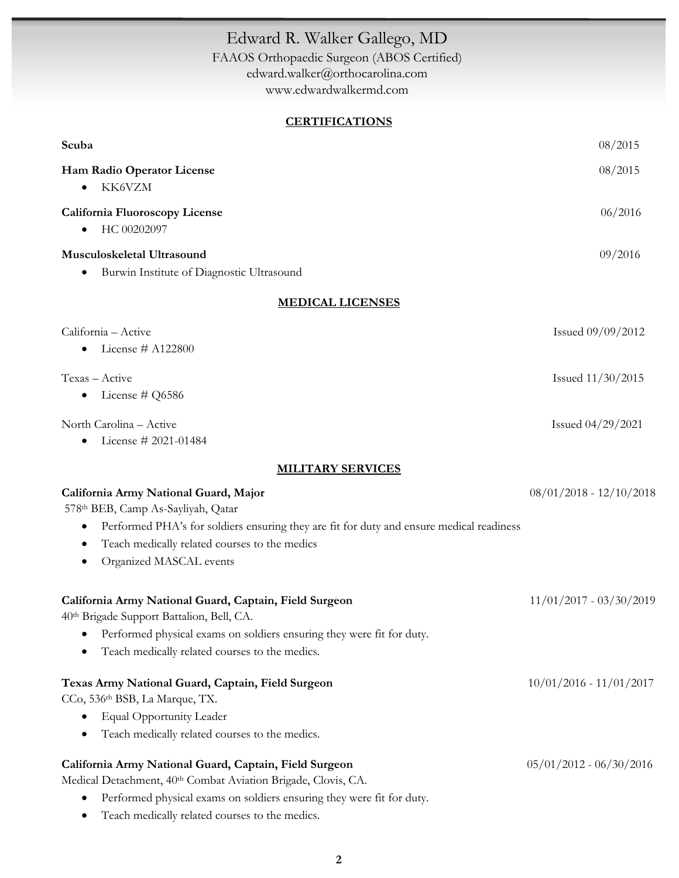# Edward R. Walker Gallego, MD FAAOS Orthopaedic Surgeon (ABOS Certified) [edward.walker@orthocarolina.com](mailto:edward.walker@orthocarolina.com) [www.edwardwalkermd.com](http://www.edwardwalkermd.com/)

### **CERTIFICATIONS**

| Scuba                                                                                                 | 08/2015                   |
|-------------------------------------------------------------------------------------------------------|---------------------------|
| Ham Radio Operator License                                                                            | 08/2015                   |
| KK6VZM<br>$\bullet$                                                                                   |                           |
| <b>California Fluoroscopy License</b>                                                                 | 06/2016                   |
| HC 00202097<br>$\bullet$                                                                              |                           |
| Musculoskeletal Ultrasound                                                                            | 09/2016                   |
| Burwin Institute of Diagnostic Ultrasound<br>$\bullet$                                                |                           |
| <b>MEDICAL LICENSES</b>                                                                               |                           |
| California - Active                                                                                   | Issued 09/09/2012         |
| License # A122800<br>$\bullet$                                                                        |                           |
| Texas - Active                                                                                        | Issued 11/30/2015         |
| License # Q6586<br>$\bullet$                                                                          |                           |
| North Carolina - Active                                                                               | Issued 04/29/2021         |
| License # 2021-01484<br>٠                                                                             |                           |
| <b>MILITARY SERVICES</b>                                                                              |                           |
| California Army National Guard, Major                                                                 | $08/01/2018 - 12/10/2018$ |
| 578th BEB, Camp As-Sayliyah, Qatar                                                                    |                           |
| Performed PHA's for soldiers ensuring they are fit for duty and ensure medical readiness<br>$\bullet$ |                           |
| Teach medically related courses to the medics<br>٠                                                    |                           |
| Organized MASCAL events                                                                               |                           |
| California Army National Guard, Captain, Field Surgeon                                                | $11/01/2017 - 03/30/2019$ |
| 40th Brigade Support Battalion, Bell, CA.                                                             |                           |
| • Performed physical exams on soldiers ensuring they were fit for duty.                               |                           |
| Teach medically related courses to the medics.                                                        |                           |
| Texas Army National Guard, Captain, Field Surgeon                                                     | $10/01/2016 - 11/01/2017$ |
| CCo, 536th BSB, La Marque, TX.                                                                        |                           |
| <b>Equal Opportunity Leader</b><br>$\bullet$                                                          |                           |
| Teach medically related courses to the medics.<br>٠                                                   |                           |
| California Army National Guard, Captain, Field Surgeon                                                | $05/01/2012 - 06/30/2016$ |
| Medical Detachment, 40th Combat Aviation Brigade, Clovis, CA.                                         |                           |
| Performed physical exams on soldiers ensuring they were fit for duty.<br>٠                            |                           |
| Teach medically related courses to the medics.<br>٠                                                   |                           |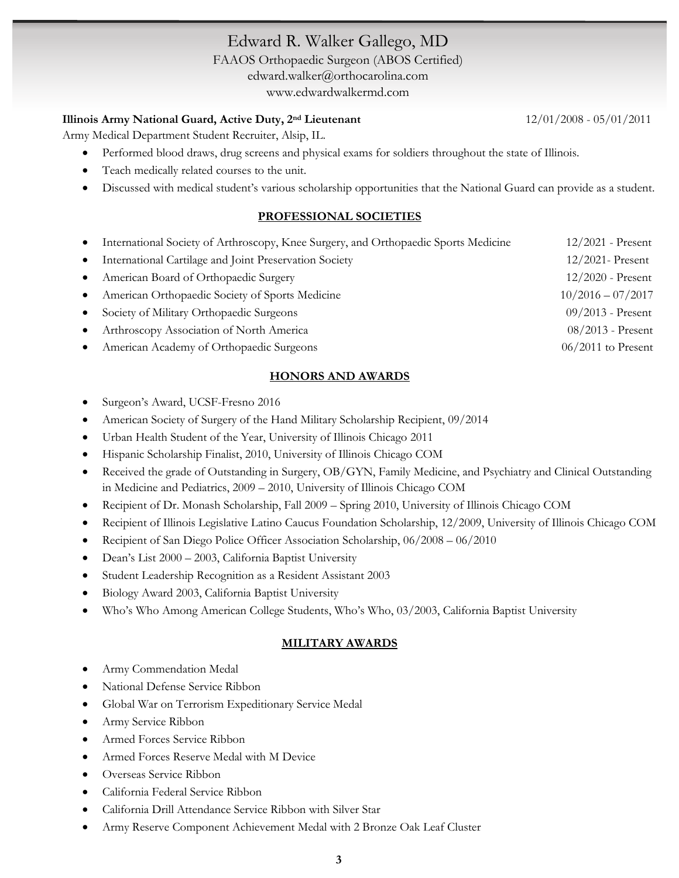# Edward R. Walker Gallego, MD

FAAOS Orthopaedic Surgeon (ABOS Certified) [edward.walker@orthocarolina.com](mailto:edward.walker@orthocarolina.com) [www.edwardwalkermd.com](http://www.edwardwalkermd.com/)

### **Illinois Army National Guard, Active Duty, 2nd Lieutenant** 12/01/2008 - 05/01/2011

Army Medical Department Student Recruiter, Alsip, IL.

- Performed blood draws, drug screens and physical exams for soldiers throughout the state of Illinois.
- Teach medically related courses to the unit.
- Discussed with medical student's various scholarship opportunities that the National Guard can provide as a student.

## **PROFESSIONAL SOCIETIES**

| $\bullet$ | International Society of Arthroscopy, Knee Surgery, and Orthopaedic Sports Medicine | $12/2021$ - Present  |
|-----------|-------------------------------------------------------------------------------------|----------------------|
| $\bullet$ | International Cartilage and Joint Preservation Society                              | $12/2021$ - Present  |
|           | • American Board of Orthopaedic Surgery                                             | $12/2020$ - Present  |
|           | • American Orthopaedic Society of Sports Medicine                                   | $10/2016 - 07/2017$  |
|           | • Society of Military Orthopaedic Surgeons                                          | $09/2013$ - Present  |
| $\bullet$ | Arthroscopy Association of North America                                            | $08/2013$ - Present  |
|           | • American Academy of Orthopaedic Surgeons                                          | $06/2011$ to Present |

## **HONORS AND AWARDS**

- Surgeon's Award, UCSF-Fresno 2016
- American Society of Surgery of the Hand Military Scholarship Recipient, 09/2014
- Urban Health Student of the Year, University of Illinois Chicago 2011
- Hispanic Scholarship Finalist, 2010, University of Illinois Chicago COM
- Received the grade of Outstanding in Surgery, OB/GYN, Family Medicine, and Psychiatry and Clinical Outstanding in Medicine and Pediatrics, 2009 – 2010, University of Illinois Chicago COM
- Recipient of Dr. Monash Scholarship, Fall 2009 Spring 2010, University of Illinois Chicago COM
- Recipient of Illinois Legislative Latino Caucus Foundation Scholarship, 12/2009, University of Illinois Chicago COM
- Recipient of San Diego Police Officer Association Scholarship,  $06/2008 06/2010$
- Dean's List 2000 2003, California Baptist University
- Student Leadership Recognition as a Resident Assistant 2003
- Biology Award 2003, California Baptist University
- Who's Who Among American College Students, Who's Who, 03/2003, California Baptist University

### **MILITARY AWARDS**

- Army Commendation Medal
- National Defense Service Ribbon
- Global War on Terrorism Expeditionary Service Medal
- Army Service Ribbon
- Armed Forces Service Ribbon
- Armed Forces Reserve Medal with M Device
- Overseas Service Ribbon
- California Federal Service Ribbon
- California Drill Attendance Service Ribbon with Silver Star
- Army Reserve Component Achievement Medal with 2 Bronze Oak Leaf Cluster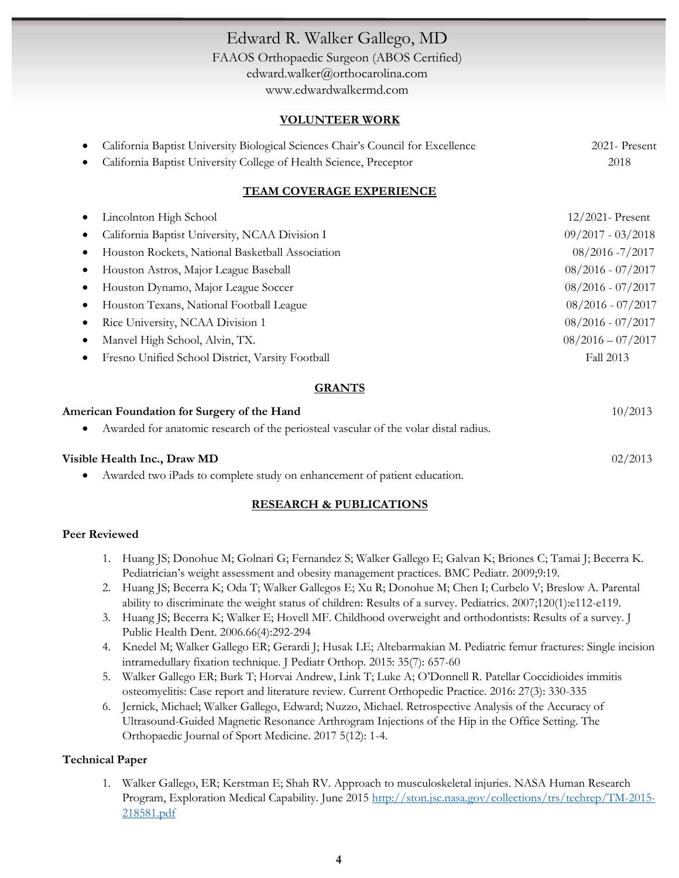# Edward R. Walker Gallego, MD

FAAOS Orthopaedic Surgeon (ABOS Certified) [edward.walker@orthocarolina.com](mailto:edward.walker@orthocarolina.com) [www.edwardwalkermd.com](http://www.edwardwalkermd.com/)

#### **VOLUNTEER WORK**

| • California Baptist University Biological Sciences Chair's Council for Excellence | 2021- Present |
|------------------------------------------------------------------------------------|---------------|
| • California Baptist University College of Health Science, Preceptor               | 2018          |

#### **TEAM COVERAGE EXPERIENCE**

|           | Lincolnton High School                           | $12/2021$ - Present |
|-----------|--------------------------------------------------|---------------------|
|           | California Baptist University, NCAA Division I   | $09/2017 - 03/2018$ |
|           | Houston Rockets, National Basketball Association | 08/2016 -7/2017     |
|           | Houston Astros, Major League Baseball            | $08/2016 - 07/2017$ |
|           | Houston Dynamo, Major League Soccer              | $08/2016 - 07/2017$ |
| $\bullet$ | Houston Texans, National Football League         | $08/2016 - 07/2017$ |
|           | Rice University, NCAA Division 1                 | $08/2016 - 07/2017$ |
|           | Manvel High School, Alvin, TX.                   | $08/2016 - 07/2017$ |
|           | Fresno Unified School District, Varsity Football | Fall 2013           |

#### **GRANTS**

| American Foundation for Surgery of the Hand                                          | 10/2013 |
|--------------------------------------------------------------------------------------|---------|
| Awarded for anatomic research of the periosteal vascular of the volar distal radius. |         |
| Visible Health Inc., Draw MD                                                         | 02/2013 |
| Awarded two iPads to complete study on enhancement of patient education.             |         |

#### **RESEARCH & PUBLICATIONS**

#### **Peer Reviewed**

- 1. Huang JS; Donohue M; Golnari G; Fernandez S; Walker Gallego E; Galvan K; Briones C; Tamai J; Becerra K. Pediatrician's weight assessment and obesity management practices. BMC Pediatr. 2009;9:19.
- 2. Huang JS; Becerra K; Oda T; Walker Gallegos E; Xu R; Donohue M; Chen I; Curbelo V; Breslow A. Parental ability to discriminate the weight status of children: Results of a survey. Pediatrics. 2007;120(1):e112-e119.
- 3. Huang JS; Becerra K; Walker E; Hovell MF. Childhood overweight and orthodontists: Results of a survey. J Public Health Dent. 2006.66(4):292-294
- 4. Knedel M; Walker Gallego ER; Gerardi J; Husak LE; Altebarmakian M. Pediatric femur fractures: Single incision intramedullary fixation technique. J Pediatr Orthop. 2015: 35(7): 657-60
- 5. Walker Gallego ER; Burk T; Horvai Andrew, Link T; Luke A; O'Donnell R. Patellar Coccidioides immitis osteomyelitis: Case report and literature review. Current Orthopedic Practice. 2016: 27(3): 330-335
- 6. Jernick, Michael; Walker Gallego, Edward; Nuzzo, Michael. Retrospective Analysis of the Accuracy of Ultrasound-Guided Magnetic Resonance Arthrogram Injections of the Hip in the Office Setting. The Orthopaedic Journal of Sport Medicine. 2017 5(12): 1-4.

### **Technical Paper**

1. Walker Gallego, ER; Kerstman E; Shah RV. Approach to musculoskeletal injuries. NASA Human Research Program, Exploration Medical Capability. June 2015 [http://ston.jsc.nasa.gov/collections/trs/techrep/TM-2015-](http://ston.jsc.nasa.gov/collections/trs/techrep/TM-2015-218581.pdf) [218581.pdf](http://ston.jsc.nasa.gov/collections/trs/techrep/TM-2015-218581.pdf)